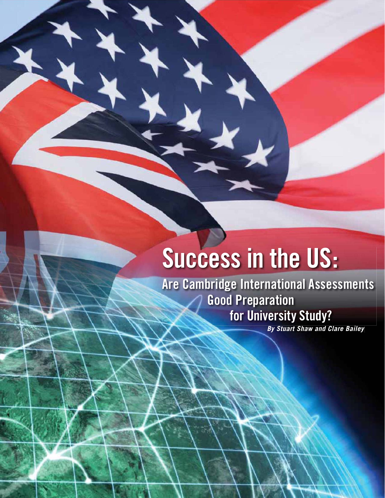# **Success in the US:**

**Are Cambridge International Assessments Good Preparation for University Study?**

*By Stuart Shaw and Clare Bailey*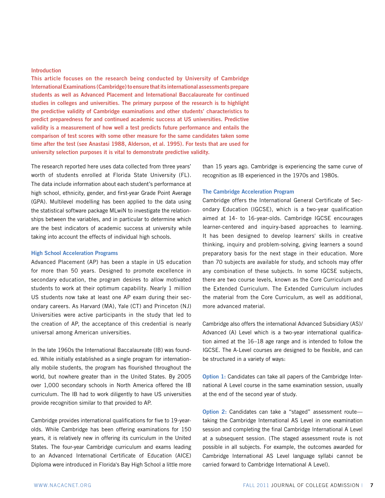#### **Introduction**

**This article focuses on the research being conducted by University of Cambridge International Examinations (Cambridge) to ensure that its international assessments prepare students as well as Advanced Placement and International Baccalaureate for continued studies in colleges and universities. The primary purpose of the research is to highlight the predictive validity of Cambridge examinations and other students' characteristics to predict preparedness for and continued academic success at US universities. Predictive validity is a measurement of how well a test predicts future performance and entails the comparison of test scores with some other measure for the same candidates taken some time after the test (see Anastasi 1988, Alderson, et al. 1995). For tests that are used for university selection purposes it is vital to demonstrate predictive validity.**

The research reported here uses data collected from three years' worth of students enrolled at Florida State University (FL). The data include information about each student's performance at high school, ethnicity, gender, and first-year Grade Point Average (GPA). Multilevel modelling has been applied to the data using the statistical software package MLwiN to investigate the relationships between the variables, and in particular to determine which are the best indicators of academic success at university while taking into account the effects of individual high schools.

#### **High School Acceleration Programs**

Advanced Placement (AP) has been a staple in US education for more than 50 years. Designed to promote excellence in secondary education, the program desires to allow motivated students to work at their optimum capability. Nearly 1 million US students now take at least one AP exam during their secondary careers. As Harvard (MA), Yale (CT) and Princeton (NJ) Universities were active participants in the study that led to the creation of AP, the acceptance of this credential is nearly universal among American universities.

In the late 1960s the International Baccalaureate (IB) was founded. While initially established as a single program for internationally mobile students, the program has flourished throughout the world, but nowhere greater than in the United States. By 2005 over 1,000 secondary schools in North America offered the IB curriculum. The IB had to work diligently to have US universities provide recognition similar to that provided to AP.

Cambridge provides international qualifications for five to 19-yearolds. While Cambridge has been offering examinations for 150 years, it is relatively new in offering its curriculum in the United States. The four-year Cambridge curriculum and exams leading to an Advanced International Certificate of Education (AICE) Diploma were introduced in Florida's Bay High School a little more than 15 years ago. Cambridge is experiencing the same curve of recognition as IB experienced in the 1970s and 1980s.

## **The Cambridge Acceleration Program**

Cambridge offers the International General Certificate of Secondary Education (IGCSE), which is a two-year qualification aimed at 14- to 16-year-olds. Cambridge IGCSE encourages learner-centered and inquiry-based approaches to learning. It has been designed to develop learners' skills in creative thinking, inquiry and problem-solving, giving learners a sound preparatory basis for the next stage in their education. More than 70 subjects are available for study, and schools may offer any combination of these subjects. In some IGCSE subjects, there are two course levels, known as the Core Curriculum and the Extended Curriculum. The Extended Curriculum includes the material from the Core Curriculum, as well as additional, more advanced material.

Cambridge also offers the international Advanced Subsidiary (AS)/ Advanced (A) Level which is a two-year international qualification aimed at the 16–18 age range and is intended to follow the IGCSE. The A-Level courses are designed to be flexible, and can be structured in a variety of ways:

**Option 1:** Candidates can take all papers of the Cambridge International A Level course in the same examination session, usually at the end of the second year of study.

**Option 2:** Candidates can take a "staged" assessment route taking the Cambridge International AS Level in one examination session and completing the final Cambridge International A Level at a subsequent session. (The staged assessment route is not possible in all subjects. For example, the outcomes awarded for Cambridge International AS Level language syllabi cannot be carried forward to Cambridge International A Level).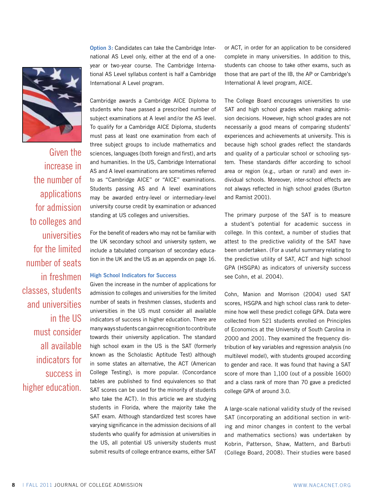

Given the increase in the number of applications for admission to colleges and universities for the limited number of seats in freshmen classes, students and universities in the US must consider all available indicators for success in higher education. **Option 3:** Candidates can take the Cambridge International AS Level only, either at the end of a oneyear or two-year course. The Cambridge International AS Level syllabus content is half a Cambridge International A Level program.

Cambridge awards a Cambridge AICE Diploma to students who have passed a prescribed number of subject examinations at A level and/or the AS level. To qualify for a Cambridge AICE Diploma, students must pass at least one examination from each of three subject groups to include mathematics and sciences, languages (both foreign and first), and arts and humanities. In the US, Cambridge International AS and A level examinations are sometimes referred to as "Cambridge AICE" or "AICE" examinations. Students passing AS and A level examinations may be awarded entry-level or intermediary-level university course credit by examination or advanced standing at US colleges and universities.

For the benefit of readers who may not be familiar with the UK secondary school and university system, we include a tabulated comparison of secondary education in the UK and the US as an appendix on page 16.

#### **High School Indicators for Success**

Given the increase in the number of applications for admission to colleges and universities for the limited number of seats in freshmen classes, students and universities in the US must consider all available indicators of success in higher education. There are many ways students can gain recognition to contribute towards their university application. The standard high school exam in the US is the SAT (formerly known as the Scholastic Aptitude Test) although in some states an alternative, the ACT (American College Testing), is more popular. (Concordance tables are published to find equivalences so that SAT scores can be used for the minority of students who take the ACT). In this article we are studying students in Florida, where the majority take the SAT exam. Although standardized test scores have varying significance in the admission decisions of all students who qualify for admission at universities in the US, all potential US university students must submit results of college entrance exams, either SAT or ACT, in order for an application to be considered complete in many universities. In addition to this, students can choose to take other exams, such as those that are part of the IB, the AP or Cambridge's International A level program, AICE.

The College Board encourages universities to use SAT and high school grades when making admission decisions. However, high school grades are not necessarily a good means of comparing students' experiences and achievements at university. This is because high school grades reflect the standards and quality of a particular school or schooling system. These standards differ according to school area or region (e.g., urban or rural) and even individual schools. Moreover, inter-school effects are not always reflected in high school grades (Burton and Ramist 2001).

The primary purpose of the SAT is to measure a student's potential for academic success in college. In this context, a number of studies that attest to the predictive validity of the SAT have been undertaken. (For a useful summary relating to the predictive utility of SAT, ACT and high school GPA (HSGPA) as indicators of university success see Cohn, et al. 2004).

Cohn, Manion and Morrison (2004) used SAT scores, HSGPA and high school class rank to determine how well these predict college GPA. Data were collected from 521 students enrolled on Principles of Economics at the University of South Carolina in 2000 and 2001. They examined the frequency distribution of key variables and regression analysis (no multilevel model), with students grouped according to gender and race. It was found that having a SAT score of more than 1,100 (out of a possible 1600) and a class rank of more than 70 gave a predicted college GPA of around 3.0.

A large-scale national validity study of the revised SAT (incorporating an additional section in writing and minor changes in content to the verbal and mathematics sections) was undertaken by Kobrin, Patterson, Shaw, Mattern, and Barbuti (College Board, 2008). Their studies were based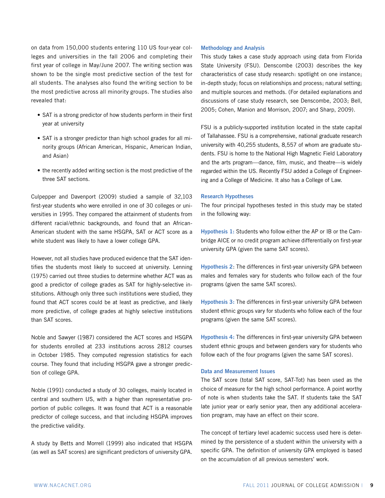on data from 150,000 students entering 110 US four-year colleges and universities in the fall 2006 and completing their first year of college in May/June 2007. The writing section was shown to be the single most predictive section of the test for all students. The analyses also found the writing section to be the most predictive across all minority groups. The studies also revealed that:

- SAT is a strong predictor of how students perform in their first year at university
- SAT is a stronger predictor than high school grades for all minority groups (African American, Hispanic, American Indian, and Asian)
- the recently added writing section is the most predictive of the three SAT sections.

Culpepper and Davenport (2009) studied a sample of 32,103 first-year students who were enrolled in one of 30 colleges or universities in 1995. They compared the attainment of students from different racial/ethnic backgrounds, and found that an African-American student with the same HSGPA, SAT or ACT score as a white student was likely to have a lower college GPA.

However, not all studies have produced evidence that the SAT identifies the students most likely to succeed at university. Lenning (1975) carried out three studies to determine whether ACT was as good a predictor of college grades as SAT for highly-selective institutions. Although only three such institutions were studied, they found that ACT scores could be at least as predictive, and likely more predictive, of college grades at highly selective institutions than SAT scores.

Noble and Sawyer (1987) considered the ACT scores and HSGPA for students enrolled at 233 institutions across 2812 courses in October 1985. They computed regression statistics for each course. They found that including HSGPA gave a stronger prediction of college GPA.

Noble (1991) conducted a study of 30 colleges, mainly located in central and southern US, with a higher than representative proportion of public colleges. It was found that ACT is a reasonable predictor of college success, and that including HSGPA improves the predictive validity.

A study by Betts and Morrell (1999) also indicated that HSGPA (as well as SAT scores) are significant predictors of university GPA.

## **Methodology and Analysis**

This study takes a case study approach using data from Florida State University (FSU). Denscombe (2003) describes the key characteristics of case study research: spotlight on one instance; in-depth study; focus on relationships and process; natural setting; and multiple sources and methods. (For detailed explanations and discussions of case study research, see Denscombe, 2003; Bell, 2005; Cohen, Manion and Morrison, 2007; and Sharp, 2009).

FSU is a publicly-supported institution located in the state capital of Tallahassee. FSU is a comprehensive, national graduate research university with 40,255 students, 8,557 of whom are graduate students. FSU is home to the National High Magnetic Field Laboratory and the arts program—dance, film, music, and theatre—is widely regarded within the US. Recently FSU added a College of Engineering and a College of Medicine. It also has a College of Law.

#### **Research Hypotheses**

The four principal hypotheses tested in this study may be stated in the following way:

**Hypothesis 1:** Students who follow either the AP or IB or the Cambridge AICE or no credit program achieve differentially on first-year university GPA (given the same SAT scores).

**Hypothesis 2**: The differences in first-year university GPA between males and females vary for students who follow each of the four programs (given the same SAT scores).

**Hypothesis 3:** The differences in first-year university GPA between student ethnic groups vary for students who follow each of the four programs (given the same SAT scores).

**Hypothesis 4:** The differences in first-year university GPA between student ethnic groups and between genders vary for students who follow each of the four programs (given the same SAT scores).

#### **Data and Measurement Issues**

The SAT score (total SAT score, SAT-Tot) has been used as the choice of measure for the high school performance. A point worthy of note is when students take the SAT. If students take the SAT late junior year or early senior year, then any additional acceleration program, may have an effect on their score.

The concept of tertiary level academic success used here is determined by the persistence of a student within the university with a specific GPA. The definition of university GPA employed is based on the accumulation of all previous semesters' work.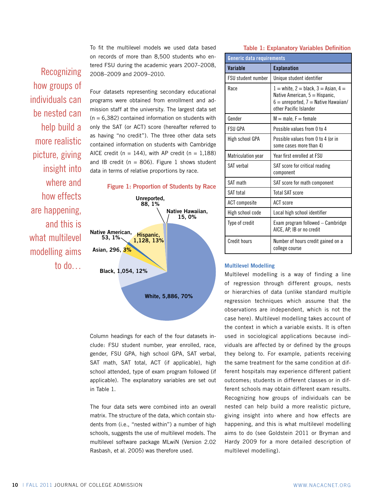To fit the multilevel models we used data based on records of more than 8,500 students who entered FSU during the academic years 2007–2008, 2008–2009 and 2009–2010.

Recognizing how groups of individuals can be nested can help build a more realistic picture, giving insight into where and how effects are happening, and this is what multilevel modelling aims to do…







Column headings for each of the four datasets include: FSU student number, year enrolled, race, gender, FSU GPA, high school GPA, SAT verbal, SAT math, SAT total, ACT (if applicable), high school attended, type of exam program followed (if applicable). The explanatory variables are set out in Table 1.

The four data sets were combined into an overall matrix. The structure of the data, which contain students from (i.e., "nested within") a number of high schools, suggests the use of multilevel models. The multilevel software package MLwiN (Version 2.02 Rasbash, et al. 2005) was therefore used.

**Table 1: Explanatory Variables Definition**

|                           | Generic data requirements                                                                                                                        |  |  |  |  |  |
|---------------------------|--------------------------------------------------------------------------------------------------------------------------------------------------|--|--|--|--|--|
| Variable                  | <b>Explanation</b>                                                                                                                               |  |  |  |  |  |
| FSU student number        | Unique student identifier                                                                                                                        |  |  |  |  |  |
| Race                      | $1 =$ white, 2 = black, 3 = Asian, 4 =<br>Native American, $5 =$ Hispanic,<br>$6 =$ unreported, $7 =$ Native Hawaiian/<br>other Pacific Islander |  |  |  |  |  |
| Gender                    | $M = male, F = female$                                                                                                                           |  |  |  |  |  |
| <b>FSU GPA</b>            | Possible values from 0 to 4                                                                                                                      |  |  |  |  |  |
| High school GPA           | Possible values from 0 to 4 (or in<br>some cases more than 4)                                                                                    |  |  |  |  |  |
| <b>Matriculation year</b> | Year first enrolled at FSU                                                                                                                       |  |  |  |  |  |
| SAT verbal                | SAT score for critical reading<br>component                                                                                                      |  |  |  |  |  |
| SAT math                  | SAT score for math component                                                                                                                     |  |  |  |  |  |
| SAT total                 | <b>Total SAT score</b>                                                                                                                           |  |  |  |  |  |
| <b>ACT</b> composite      | <b>ACT</b> score                                                                                                                                 |  |  |  |  |  |
| High school code          | Local high school identifier                                                                                                                     |  |  |  |  |  |
| Type of credit            | Exam program followed – Cambridge<br>AICE, AP, IB or no credit                                                                                   |  |  |  |  |  |
| <b>Credit hours</b>       | Number of hours credit gained on a<br>college course                                                                                             |  |  |  |  |  |

#### **Multilevel Modelling**

Multilevel modelling is a way of finding a line of regression through different groups, nests or hierarchies of data (unlike standard multiple regression techniques which assume that the observations are independent, which is not the case here). Multilevel modelling takes account of the context in which a variable exists. It is often used in sociological applications because individuals are affected by or defined by the groups they belong to. For example, patients receiving the same treatment for the same condition at different hospitals may experience different patient outcomes; students in different classes or in different schools may obtain different exam results. Recognizing how groups of individuals can be nested can help build a more realistic picture, giving insight into where and how effects are happening, and this is what multilevel modelling aims to do (see Goldstein 2011 or Bryman and Hardy 2009 for a more detailed description of multilevel modelling).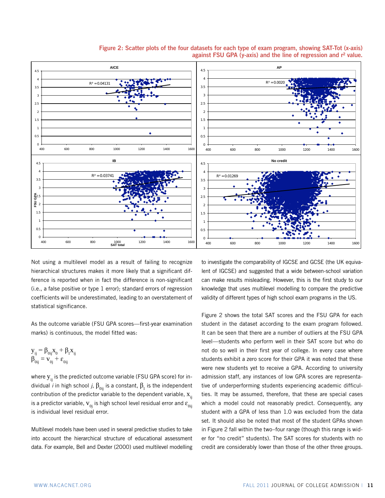

**Figure 2: Scatter plots of the four datasets for each type of exam program, showing SAT-Tot (x-axis) against FSU GPA (y-axis) and the line of regression and r² value.**

Not using a multilevel model as a result of failing to recognize hierarchical structures makes it more likely that a significant difference is reported when in fact the difference is non-significant (i.e., a false positive or type 1 error); standard errors of regression coefficients will be underestimated, leading to an overstatement of statistical significance.

As the outcome variable (FSU GPA scores—first-year examination marks) is continuous, the model fitted was:

$$
\begin{aligned} \mathbf{y}_{ij} &= \beta_{0ij} \mathbf{x}_0 + \beta_i \mathbf{x}_{ij} \\ \beta_{0ij} &= \mathbf{v}_{0j} + \boldsymbol{\epsilon}_{0ij} \end{aligned}
$$

where  $y_{ii}$  is the predicted outcome variable (FSU GPA score) for individual *i* in high school *j*,  $\beta_{0ij}$  is a constant,  $\beta_{_1}$  is the independent contribution of the predictor variable to the dependent variable,  $x_{ii}$ is a predictor variable,  $v_{0i}$  is high school level residual error and  $\varepsilon_{0ii}$ is individual level residual error.

Multilevel models have been used in several predictive studies to take into account the hierarchical structure of educational assessment data. For example, Bell and Dexter (2000) used multilevel modelling to investigate the comparability of IGCSE and GCSE (the UK equivalent of IGCSE) and suggested that a wide between-school variation can make results misleading. However, this is the first study to our knowledge that uses multilevel modelling to compare the predictive validity of different types of high school exam programs in the US.

Figure 2 shows the total SAT scores and the FSU GPA for each student in the dataset according to the exam program followed. It can be seen that there are a number of outliers at the FSU GPA level—students who perform well in their SAT score but who do not do so well in their first year of college. In every case where students exhibit a zero score for their GPA it was noted that these were new students yet to receive a GPA. According to university admission staff, any instances of low GPA scores are representative of underperforming students experiencing academic difficulties. It may be assumed, therefore, that these are special cases which a model could not reasonably predict. Consequently, any student with a GPA of less than 1.0 was excluded from the data set. It should also be noted that most of the student GPAs shown in Figure 2 fall within the two–four range (though this range is wider for "no credit" students). The SAT scores for students with no credit are considerably lower than those of the other three groups.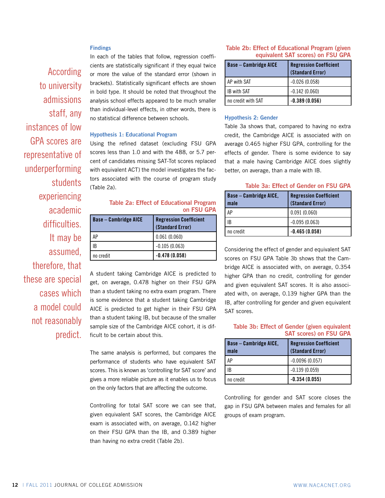## **Findings**

According to university admissions staff, any instances of low GPA scores are representative of underperforming students experiencing academic difficulties. It may be assumed, therefore, that these are special cases which a model could not reasonably predict.

In each of the tables that follow, regression coefficients are statistically significant if they equal twice or more the value of the standard error (shown in brackets). Statistically significant effects are shown in bold type. It should be noted that throughout the analysis school effects appeared to be much smaller than individual-level effects, in other words, there is no statistical difference between schools.

## **Hypothesis 1: Educational Program**

Using the refined dataset (excluding FSU GPA scores less than 1.0 and with the 488, or 5.7 percent of candidates missing SAT-Tot scores replaced with equivalent ACT) the model investigates the factors associated with the course of program study (Table 2a).

## **Table 2a: Effect of Educational Program on FSU GPA**

| <b>Base - Cambridge AICE</b> | <b>Regression Coefficient</b><br>(Standard Error) |  |  |  |
|------------------------------|---------------------------------------------------|--|--|--|
| AP                           | 0.061(0.060)                                      |  |  |  |
| IB                           | $-0.105(0.063)$                                   |  |  |  |
| no credit                    | $-0.478(0.058)$                                   |  |  |  |

A student taking Cambridge AICE is predicted to get, on average, 0.478 higher on their FSU GPA than a student taking no extra exam program. There is some evidence that a student taking Cambridge AICE is predicted to get higher in their FSU GPA than a student taking IB, but because of the smaller sample size of the Cambridge AICE cohort, it is difficult to be certain about this.

The same analysis is performed, but compares the performance of students who have equivalent SAT scores. This is known as 'controlling for SAT score' and gives a more reliable picture as it enables us to focus on the only factors that are affecting the outcome.

Controlling for total SAT score we can see that, given equivalent SAT scores, the Cambridge AICE exam is associated with, on average, 0.142 higher on their FSU GPA than the IB, and 0.389 higher than having no extra credit (Table 2b).

## **Table 2b: Effect of Educational Program (given equivalent SAT scores) on FSU GPA**

| <b>Base - Cambridge AICE</b> | <b>Regression Coefficient</b><br>(Standard Error) |  |  |  |
|------------------------------|---------------------------------------------------|--|--|--|
| AP with SAT                  | $-0.026(0.058)$                                   |  |  |  |
| <b>IB with SAT</b>           | $-0.142(0.060)$                                   |  |  |  |
| no credit with SAT           | $-0.389(0.056)$                                   |  |  |  |

#### **Hypothesis 2: Gender**

Table 3a shows that, compared to having no extra credit, the Cambridge AICE is associated with on average 0.465 higher FSU GPA, controlling for the effects of gender. There is some evidence to say that a male having Cambridge AICE does slightly better, on average, than a male with IB.

## **Table 3a: Effect of Gender on FSU GPA**

| <b>Base - Cambridge AICE,</b><br>male | <b>Regression Coefficient</b><br>(Standard Error) |
|---------------------------------------|---------------------------------------------------|
| АP                                    | 0.091(0.060)                                      |
| IB                                    | $-0.095(0.063)$                                   |
| no credit                             | $-0.465(0.058)$                                   |

Considering the effect of gender and equivalent SAT scores on FSU GPA Table 3b shows that the Cambridge AICE is associated with, on average, 0.354 higher GPA than no credit, controlling for gender and given equivalent SAT scores. It is also associated with, on average, 0.139 higher GPA than the IB, after controlling for gender and given equivalent SAT scores.

| Table 3b: Effect of Gender (given equivalent |  |  |                               |  |
|----------------------------------------------|--|--|-------------------------------|--|
|                                              |  |  | <b>SAT scores) on FSU GPA</b> |  |

| <b>Base – Cambridge AICE,</b><br>male | <b>Regression Coefficient</b><br>(Standard Error) |
|---------------------------------------|---------------------------------------------------|
| ΔP                                    | $-0.0096(0.057)$                                  |
| IR                                    | $-0.139(0.059)$                                   |
| no credit                             | $-0.354(0.055)$                                   |

Controlling for gender and SAT score closes the gap in FSU GPA between males and females for all groups of exam program.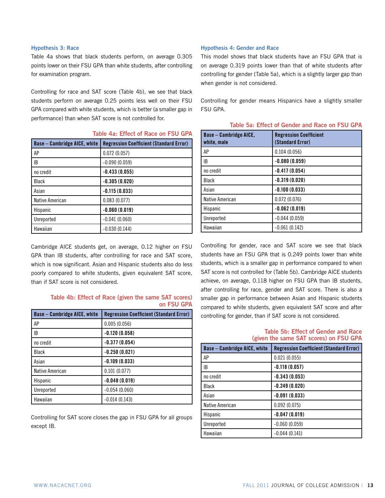#### **Hypothesis 3: Race**

Table 4a shows that black students perform, on average 0.305 points lower on their FSU GPA than white students, after controlling for examination program.

Controlling for race and SAT score (Table 4b), we see that black students perform on average 0.25 points less well on their FSU GPA compared with white students, which is better (a smaller gap in performance) than when SAT score is not controlled for.

**Table 4a: Effect of Race on FSU GPA**

| <b>Base – Cambridge AICE, white</b> | <b>Regression Coefficient (Standard Error)</b> |
|-------------------------------------|------------------------------------------------|
| AP                                  | 0.072(0.057)                                   |
| IB                                  | $-0.090(0.059)$                                |
| no credit                           | $-0.433(0.055)$                                |
| <b>Black</b>                        | $-0.305(0.020)$                                |
| Asian                               | $-0.115(0.033)$                                |
| Native American                     | 0.083(0.077)                                   |
| Hispanic                            | $-0.060(0.019)$                                |
| Unreported                          | $-0.041(0.060)$                                |
| Hawaiian                            | $-0.030(0.144)$                                |

Cambridge AICE students get, on average, 0.12 higher on FSU GPA than IB students, after controlling for race and SAT score, which is now significant. Asian and Hispanic students also do less poorly compared to white students, given equivalent SAT score, than if SAT score is not considered.

# **Table 4b: Effect of Race (given the same SAT scores) on FSU GPA**

| <b>Base - Cambridge AICE, white</b> | <b>Regression Coefficient (Standard Error)</b> |
|-------------------------------------|------------------------------------------------|
| AP                                  | 0.005(0.056)                                   |
| ΙB                                  | $-0.120(0.058)$                                |
| no credit                           | $-0.377(0.054)$                                |
| <b>Black</b>                        | $-0.250(0.021)$                                |
| Asian                               | $-0.109(0.033)$                                |
| Native American                     | 0.101(0.077)                                   |
| Hispanic                            | $-0.048(0.019)$                                |
| Unreported                          | $-0.054(0.060)$                                |
| Hawaiian                            | $-0.014(0.143)$                                |

Controlling for SAT score closes the gap in FSU GPA for all groups except IB.

## **Hypothesis 4: Gender and Race**

This model shows that black students have an FSU GPA that is on average 0.319 points lower than that of white students after controlling for gender (Table 5a), which is a slightly larger gap than when gender is not considered.

Controlling for gender means Hispanics have a slightly smaller FSU GPA.

| <b>Base - Cambridge AICE,</b><br>white, male | <b>Regression Coefficient</b><br>(Standard Error) |  |  |  |  |
|----------------------------------------------|---------------------------------------------------|--|--|--|--|
| AP                                           | 0.104(0.056)                                      |  |  |  |  |
| IB                                           | $-0.080(0.059)$                                   |  |  |  |  |
| no credit                                    | $-0.417(0.054)$                                   |  |  |  |  |
| <b>Black</b>                                 | $-0.319(0.020)$                                   |  |  |  |  |
| Asian                                        | $-0.100(0.033)$                                   |  |  |  |  |
| Native American                              | 0.072(0.076)                                      |  |  |  |  |
| Hispanic                                     | $-0.062(0.019)$                                   |  |  |  |  |
| Unreported                                   | $-0.044(0.059)$                                   |  |  |  |  |
| Hawaiian                                     | $-0.061(0.142)$                                   |  |  |  |  |

|  |  |  |  | Table 5a: Effect of Gender and Race on FSU GPA |  |  |  |  |  |
|--|--|--|--|------------------------------------------------|--|--|--|--|--|
|--|--|--|--|------------------------------------------------|--|--|--|--|--|

Controlling for gender, race and SAT score we see that black students have an FSU GPA that is 0.249 points lower than white students, which is a smaller gap in performance compared to when SAT score is not controlled for (Table 5b). Cambridge AICE students achieve, on average, 0.118 higher on FSU GPA than IB students, after controlling for race, gender and SAT score. There is also a smaller gap in performance between Asian and Hispanic students compared to white students, given equivalent SAT score and after controlling for gender, than if SAT score is not considered.

## **Table 5b: Effect of Gender and Race (given the same SAT scores) on FSU GPA**

| <b>Base – Cambridge AICE, white</b> | <b>Regression Coefficient (Standard Error)</b> |
|-------------------------------------|------------------------------------------------|
| AP                                  | 0.021(0.055)                                   |
| IB                                  | $-0.118(0.057)$                                |
| no credit                           | $-0.343(0.053)$                                |
| <b>Black</b>                        | $-0.249(0.020)$                                |
| Asian                               | $-0.091(0.033)$                                |
| Native American                     | 0.092(0.075)                                   |
| Hispanic                            | $-0.047(0.019)$                                |
| Unreported                          | $-0.060(0.059)$                                |
| Hawaiian                            | $-0.044(0.141)$                                |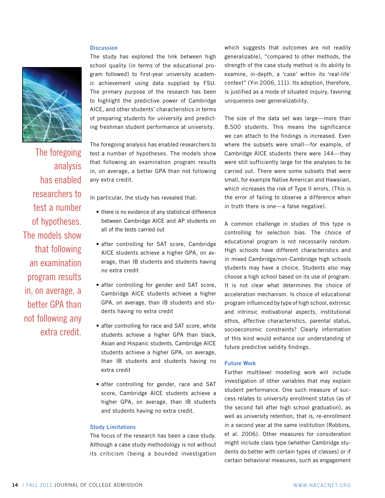# **Discussion**



The foregoing analysis has enabled researchers to test a number of hypotheses. The models show that following an examination program results in, on average, a better GPA than not following any extra credit.

The study has explored the link between high school quality (in terms of the educational program followed) to first-year university academic achievement using data supplied by FSU. The primary purpose of the research has been to highlight the predictive power of Cambridge AICE, and other students' characteristics in terms of preparing students for university and predicting freshman student performance at university.

The foregoing analysis has enabled researchers to test a number of hypotheses. The models show that following an examination program results in, on average, a better GPA than not following any extra credit.

In particular, the study has revealed that:

- there is no evidence of any statistical difference between Cambridge AICE and AP students on all of the tests carried out
- after controlling for SAT score, Cambridge AICE students achieve a higher GPA, on average, than IB students and students having no extra credit
- after controlling for gender and SAT score, Cambridge AICE students achieve a higher GPA, on average, than IB students and students having no extra credit
- after controlling for race and SAT score, white students achieve a higher GPA than black, Asian and Hispanic students. Cambridge AICE students achieve a higher GPA, on average, than IB students and students having no extra credit
- after controlling for gender, race and SAT score, Cambridge AICE students achieve a higher GPA, on average, than IB students and students having no extra credit.

#### **Study Limitations**

The focus of the research has been a case study. Although a case study methodology is not without its criticism (being a bounded investigation which suggests that outcomes are not readily generalizable), "compared to other methods, the strength of the case study method is its ability to examine, in-depth, a 'case' within its 'real-life' context" (Yin 2006, 111). Its adoption, therefore, is justified as a mode of situated inquiry, favoring uniqueness over generalizability.

The size of the data set was large—more than 8,500 students. This means the significance we can attach to the findings is increased. Even where the subsets were small—for example, of Cambridge AICE students there were 144—they were still sufficiently large for the analyses to be carried out. There were some subsets that were small, for example Native American and Hawaiian, which increases the risk of Type II errors. (This is the error of failing to observe a difference when in truth there is one—a false negative).

A common challenge in studies of this type is controlling for selection bias. The choice of educational program is not necessarily random. High schools have different characteristics and in mixed Cambridge/non-Cambridge high schools students may have a choice. Students also may choose a high school based on its use of program. It is not clear what determines the choice of acceleration mechanism. Is choice of educational program influenced by type of high school, extrinsic and intrinsic motivational aspects, institutional ethos, affective characteristics, parental status, socioeconomic constraints? Clearly information of this kind would enhance our understanding of future predictive validity findings.

#### **Future Work**

Further multilevel modelling work will include investigation of other variables that may explain student performance. One such measure of success relates to university enrollment status (as of the second fall after high school graduation), as well as university retention, that is, re-enrollment in a second year at the same institution (Robbins, et al. 2006). Other measures for consideration might include class type (whether Cambridge students do better with certain types of classes) or if certain behavioral measures, such as engagement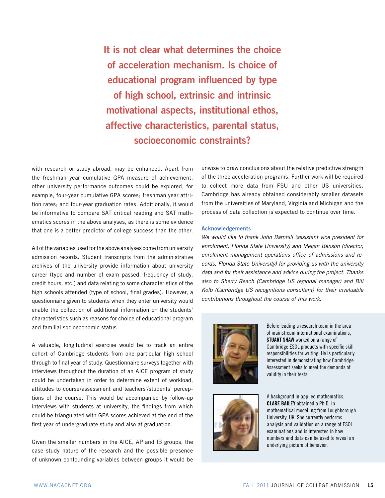**It is not clear what determines the choice of acceleration mechanism. Is choice of educational program influenced by type of high school, extrinsic and intrinsic motivational aspects, institutional ethos, affective characteristics, parental status, socioeconomic constraints?**

with research or study abroad, may be enhanced. Apart from the freshman year cumulative GPA measure of achievement, other university performance outcomes could be explored, for example, four-year cumulative GPA scores; freshman year attrition rates; and four-year graduation rates. Additionally, it would be informative to compare SAT critical reading and SAT mathematics scores in the above analyses, as there is some evidence that one is a better predictor of college success than the other.

All of the variables used for the above analyses come from university admission records. Student transcripts from the administrative archives of the university provide information about university career (type and number of exam passed, frequency of study, credit hours, etc.) and data relating to some characteristics of the high schools attended (type of school, final grades). However, a questionnaire given to students when they enter university would enable the collection of additional information on the students' characteristics such as reasons for choice of educational program and familial socioeconomic status.

A valuable, longitudinal exercise would be to track an entire cohort of Cambridge students from one particular high school through to final year of study. Questionnaire surveys together with interviews throughout the duration of an AICE program of study could be undertaken in order to determine extent of workload, attitudes to course/assessment and teachers'/students' perceptions of the course. This would be accompanied by follow-up interviews with students at university, the findings from which could be triangulated with GPA scores achieved at the end of the first year of undergraduate study and also at graduation.

Given the smaller numbers in the AICE, AP and IB groups, the case study nature of the research and the possible presence of unknown confounding variables between groups it would be

unwise to draw conclusions about the relative predictive strength of the three acceleration programs. Further work will be required to collect more data from FSU and other US universities. Cambridge has already obtained considerably smaller datasets from the universities of Maryland, Virginia and Michigan and the process of data collection is expected to continue over time.

#### **Acknowledgements**

We would like to thank John Barnhill (assistant vice president for enrollment, Florida State University) and Megan Benson (director, enrollment management operations office of admissions and records, Florida State University) for providing us with the university data and for their assistance and advice during the project. Thanks also to Sherry Reach (Cambridge US regional manager) and Bill Kolb (Cambridge US recognitions consultant) for their invaluable contributions throughout the course of this work.



Before leading a research team in the area of mainstream international examinations, **StUARt ShAw** worked on a range of Cambridge ESOL products with specific skill responsibilities for writing. He is particularly interested in demonstrating how Cambridge Assessment seeks to meet the demands of validity in their tests.



A background in applied mathematics, **ClARe BAIley** obtained a Ph.D. in mathematical modelling from Loughborough University, UK. She currently performs analysis and validation on a range of ESOL examinations and is interested in how numbers and data can be used to reveal an underlying picture of behavior.